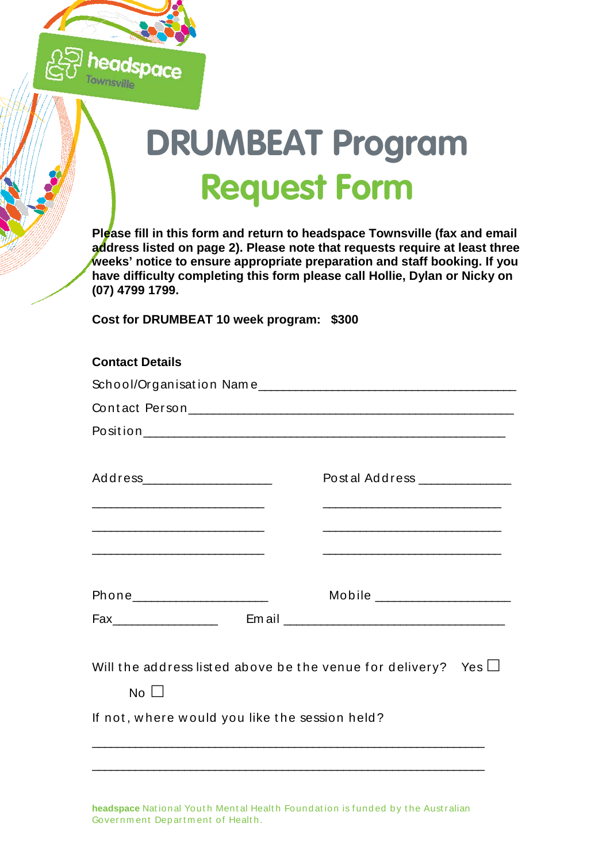

## **DRUMBEAT Program Request Form**

**Please fill in this form and return to headspace Townsville (fax and email address listed on page 2). Please note that requests require at least three weeks' notice to ensure appropriate preparation and staff booking. If you have difficulty completing this form please call Hollie, Dylan or Nicky on (07) 4799 1799.**

**Cost for DRUMBEAT 10 week program: \$300**

| <b>Contact Details</b>                                                                                                                                |                                                                                                                                                                                                                                                                                                                                                                                                                                                                                                                                                                                                                      |
|-------------------------------------------------------------------------------------------------------------------------------------------------------|----------------------------------------------------------------------------------------------------------------------------------------------------------------------------------------------------------------------------------------------------------------------------------------------------------------------------------------------------------------------------------------------------------------------------------------------------------------------------------------------------------------------------------------------------------------------------------------------------------------------|
|                                                                                                                                                       |                                                                                                                                                                                                                                                                                                                                                                                                                                                                                                                                                                                                                      |
|                                                                                                                                                       |                                                                                                                                                                                                                                                                                                                                                                                                                                                                                                                                                                                                                      |
|                                                                                                                                                       |                                                                                                                                                                                                                                                                                                                                                                                                                                                                                                                                                                                                                      |
| Address______________________<br><u> 2000 - 2000 - 2000 - 2000 - 2000 - 2000 - 2000 - 2000 - 2000 - 2000 - 2000 - 2000 - 2000 - 2000 - 2000 - 200</u> | Postal Address ______________                                                                                                                                                                                                                                                                                                                                                                                                                                                                                                                                                                                        |
| <u> 2000 - 2000 - 2000 - 2000 - 2000 - 2000 - 2000 - 2000 - 2000 - 2000 - 2000 - 2000 - 2000 - 2000 - 2000 - 200</u>                                  |                                                                                                                                                                                                                                                                                                                                                                                                                                                                                                                                                                                                                      |
| Phone__________________________                                                                                                                       | ${\small \textbf{Mobile}} \xrightarrow{\hspace{15mm}} {\small \textbf{Mobile}} \xrightarrow{\hspace{15mm}} {\small \textbf{Msingle}} \xrightarrow{\hspace{15mm}} {\small \textbf{Msingle}} \xrightarrow{\hspace{15mm}} {\small \textbf{Msingle}} \xrightarrow{\hspace{15mm}} {\small \textbf{Msingle}} \xrightarrow{\hspace{15mm}} {\small \textbf{Msingle}} \xrightarrow{\hspace{15mm}} {\small \textbf{Msingle}} \xrightarrow{\hspace{15mm}} {\small \textbf{Msingle}} \xrightarrow{\hspace{15mm}} {\small \textbf{Msingle}} \xrightarrow{\hspace{15mm}} {\small \textbf{Msingle}} \xrightarrow{\hspace{15mm}} {\$ |
|                                                                                                                                                       |                                                                                                                                                                                                                                                                                                                                                                                                                                                                                                                                                                                                                      |
| Will the address listed above be the venue for delivery? Yes $\Box$<br>$No$ $\vert \vert$                                                             |                                                                                                                                                                                                                                                                                                                                                                                                                                                                                                                                                                                                                      |
| If not, where would you like the session held?                                                                                                        |                                                                                                                                                                                                                                                                                                                                                                                                                                                                                                                                                                                                                      |
|                                                                                                                                                       |                                                                                                                                                                                                                                                                                                                                                                                                                                                                                                                                                                                                                      |
|                                                                                                                                                       |                                                                                                                                                                                                                                                                                                                                                                                                                                                                                                                                                                                                                      |

headspace National Youth Mental Health Found ation is funded by the Australian Governm ent Dep art m ent of Healt h.